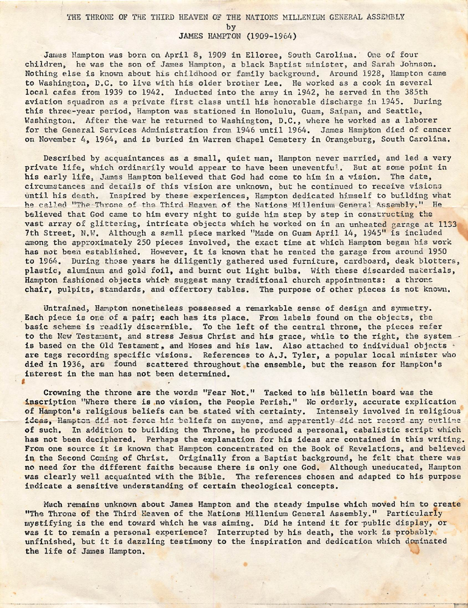## THE THRONE OF THE THIRD HEAVEN OF THE NATIONS MILLENIUM GENERAL ASSEMBLY b y

JAMES HAMPTON (1909-1964)

James Hampton was born on April 8, 1909 in Elloree, South Carolina. One of four children, he was the son of James Hampton, a black Baptist minister, and Sarah Johnson. Nothing else is known about his childhood or family background. Around 1928, Hampton came to Washington, D.C, to live with his older brother Lee, He worked as a cook in several local cafes from 1939 to 1942. Inducted into the army in 1942, he served in the 385th aviation squadron as a private first class until his honorable discharge in 1945. During this three-year period, Hampton was stationed in Honolulu, Guam, Saipan, and Seattle, Washington. After the war he returned to Washington, D.C., where he worked as a laborer for the General Services Administration from 1946 until 1964, James Hampton died of cancer on November 4, 1964, and is buried in Warren Chapel Cemetery in Orangeburg, South Carolina.

Described by acquaintances as a small, quiet man, Hampton never married, and led a very private life, which ordinarily would appear to have been uneventful. But at some point in his early life, James Hampton believed that God had come to him in a vision. The date, circumstances and details of this vision are unknown, but he continued to receive visicna until his death. Inspired by these experiences, Hampton dedicated himself to building what he called "The Throne of the Third Heaven of the Nations Millenium General Assembly." He believed that God came to him every night to guide him step by step in constructing the vast array of glittering, intricate objects which he worked on in an unheated garage at 1133 7th Street, N.W. Although a samll piece marked "Made on Guam April 14, 1945" is included among the approximately 250 pieces involved, the exact time at which Hampton began his work has not been established. However, it is known that he rented the garage from around 1950 to 1964. During those years he diligently gathered used furniture, cardboard, desk blotters, plastic, aluminum and gold foil, and burnt out light bulbs. With these discarded materials, Hampton fashioned objects which suggest many traditional church appointments; a throne chair, pulpits, standards, and offertory tables. The purpose of other pieces is not known.

Untrained, Hampton nonetheless possessed a remarkable sense of design and symmetry. Each piece is one of a pair; each has its place. From labels found on the objects, the basic scheme is readily discernible. To the left of the central throne, the pieces refer to the New Testament, and stress Jesus Christ and his grace, while to the right, the system is based on the Old Testament, and Moses and his law. Also attached to individual objects are tags recording specific visions. References to A.J. Tyler, a popular local minister who died in 1936, are found scattered throughout the ensemble, but the reason for Hampton's interest in the man has not been determined.

I

Crowning the throne are the words "Fear Not." Tacked to his bulletin board was the inscription "Where there is no vision, the People Perish." No orderly, accurate explication of Hampton's religious beliefs can be stated with certainty. Intensely involved in religious ideas, Hampton did not force his beliefs on anyone, and apparently did not record any outline of such. In addition to building the Throne, he produced a personal, cabalistic script which has not been deciphered. Perhaps the explanation for his ideas are contained in this writing. From one source it is known that Hampton concentrated on the Book of Revelations, and believed in the Second Coming of Christ. Originally from a Baptist background, he felt that there was no need for the different faiths because there is only one God. Although uneducated, Hampton was clearly well acquainted with the Bible, The references chosen and adapted to his purpose indicate a sensitive understanding of certain theological concepts.

Much remains unknown about James Hampton and the steady impulse which moved him to create "The Throne of the Third Heaven of the Nations Millenium General Assembly." Particularly mystifying is the end toward which he was aiming. Did he intend it for public display, or was it to remain a personal experience? Interrupted by his death, the work is probably unfinished, but it is dazzling testimony to the inspiration and dedication which dominated the life of James Hampton.